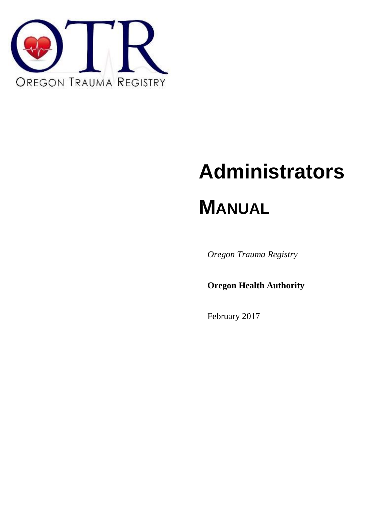

# **Administrators MANUAL**

*Oregon Trauma Registry*

**Oregon Health Authority**

February 2017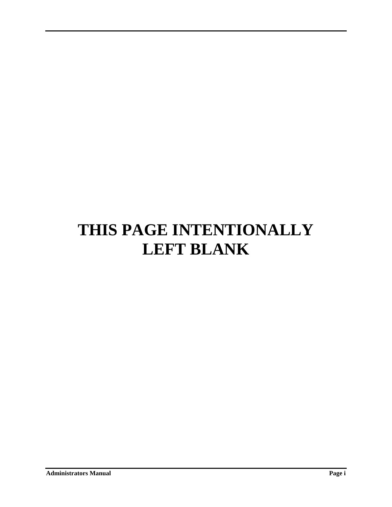# **THIS PAGE INTENTIONALLY LEFT BLANK**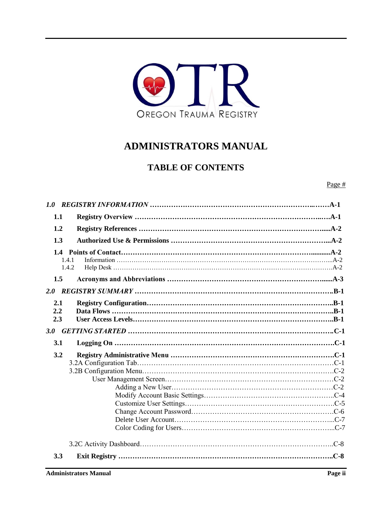

### **ADMINISTRATORS MANUAL**

### **TABLE OF CONTENTS**

| 1.1               |                |  |
|-------------------|----------------|--|
| 1.2               |                |  |
| 1.3               |                |  |
|                   | 1.4.1<br>1.4.2 |  |
| 1.5               |                |  |
|                   |                |  |
| 2.1<br>2.2<br>2.3 |                |  |
| 3.0               |                |  |
|                   |                |  |
| 3.1               |                |  |
| 3.2               |                |  |
|                   |                |  |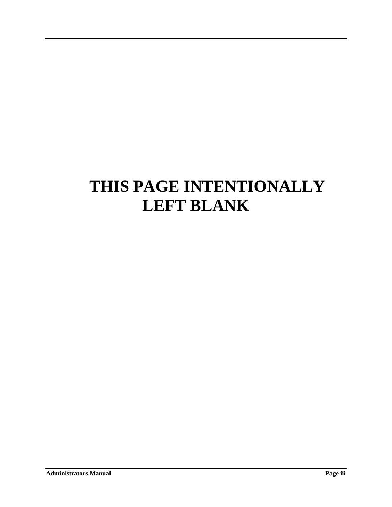## **THIS PAGE INTENTIONALLY LEFT BLANK**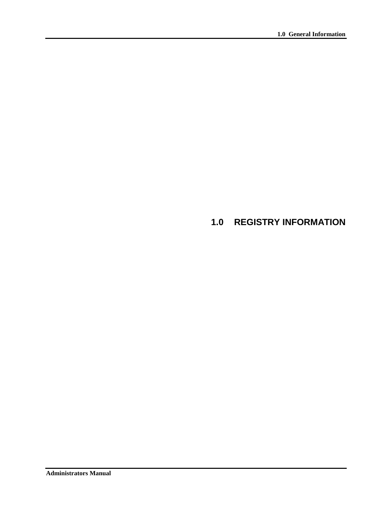### **1.0 REGISTRY INFORMATION**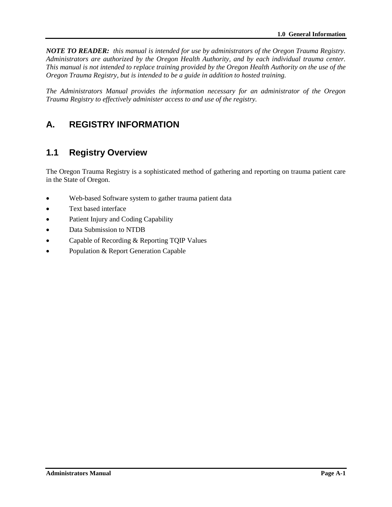*NOTE TO READER: this manual is intended for use by administrators of the Oregon Trauma Registry. Administrators are authorized by the Oregon Health Authority, and by each individual trauma center. This manual is not intended to replace training provided by the Oregon Health Authority on the use of the Oregon Trauma Registry, but is intended to be a guide in addition to hosted training.* 

*The Administrators Manual provides the information necessary for an administrator of the Oregon Trauma Registry to effectively administer access to and use of the registry.* 

### **A. REGISTRY INFORMATION**

### **1.1 Registry Overview**

The Oregon Trauma Registry is a sophisticated method of gathering and reporting on trauma patient care in the State of Oregon.

- Web-based Software system to gather trauma patient data
- Text based interface
- Patient Injury and Coding Capability
- Data Submission to NTDB
- Capable of Recording & Reporting TQIP Values
- Population & Report Generation Capable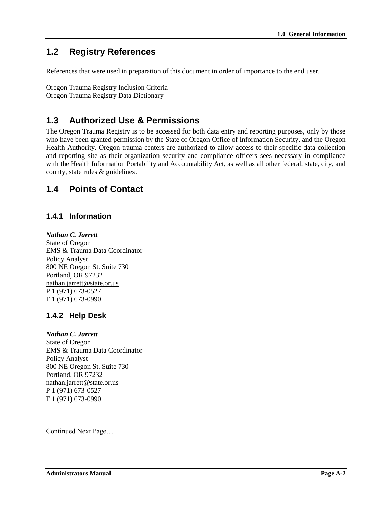### **1.2 Registry References**

References that were used in preparation of this document in order of importance to the end user.

Oregon Trauma Registry Inclusion Criteria Oregon Trauma Registry Data Dictionary

### **1.3 Authorized Use & Permissions**

The Oregon Trauma Registry is to be accessed for both data entry and reporting purposes, only by those who have been granted permission by the State of Oregon Office of Information Security, and the Oregon Health Authority. Oregon trauma centers are authorized to allow access to their specific data collection and reporting site as their organization security and compliance officers sees necessary in compliance with the Health Information Portability and Accountability Act, as well as all other federal, state, city, and county, state rules & guidelines.

### **1.4 Points of Contact**

### **1.4.1 Information**

### *Nathan C. Jarrett*

State of Oregon EMS & Trauma Data Coordinator Policy Analyst 800 NE Oregon St. Suite 730 Portland, OR 97232 nathan.jarrett@state.or.us P 1 (971) 673-0527 F 1 (971) 673-0990

### **1.4.2 Help Desk**

### *Nathan C. Jarrett*

State of Oregon EMS & Trauma Data Coordinator Policy Analyst 800 NE Oregon St. Suite 730 Portland, OR 97232 nathan.jarrett@state.or.us P 1 (971) 673-0527 F 1 (971) 673-0990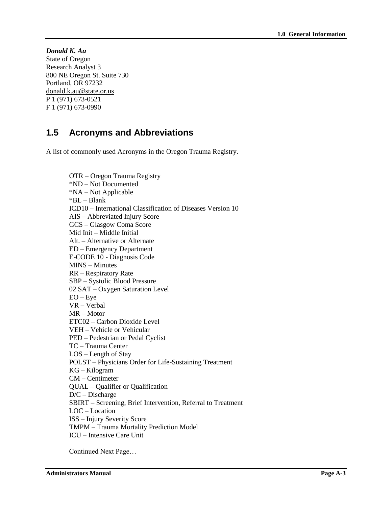*Donald K. Au* State of Oregon Research Analyst 3 800 NE Oregon St. Suite 730 Portland, OR 97232 [donald.k.au@state.or.us](mailto:donald.k.au@state.or.us) P 1 (971) 673-0521 F 1 (971) 673-0990

### **1.5 Acronyms and Abbreviations**

A list of commonly used Acronyms in the Oregon Trauma Registry.

OTR – Oregon Trauma Registry \*ND – Not Documented \*NA – Not Applicable \*BL – Blank ICD10 – International Classification of Diseases Version 10 AIS – Abbreviated Injury Score GCS – Glasgow Coma Score Mid Init – Middle Initial Alt. – Alternative or Alternate ED – Emergency Department E-CODE 10 - Diagnosis Code MINS – Minutes RR – Respiratory Rate SBP – Systolic Blood Pressure 02 SAT – Oxygen Saturation Level  $EO – Eve$ VR – Verbal MR – Motor ETC02 – Carbon Dioxide Level VEH – Vehicle or Vehicular PED – Pedestrian or Pedal Cyclist TC – Trauma Center LOS – Length of Stay POLST – Physicians Order for Life-Sustaining Treatment KG – Kilogram CM – Centimeter QUAL – Qualifier or Qualification D/C – Discharge SBIRT – Screening, Brief Intervention, Referral to Treatment LOC – Location ISS – Injury Severity Score TMPM – Trauma Mortality Prediction Model ICU – Intensive Care Unit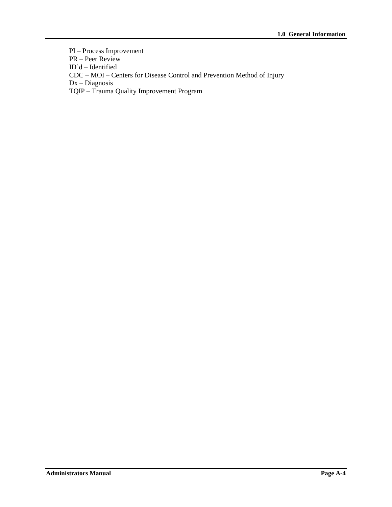PI – Process Improvement PR – Peer Review ID'd – Identified CDC – MOI – Centers for Disease Control and Prevention Method of Injury Dx – Diagnosis TQIP – Trauma Quality Improvement Program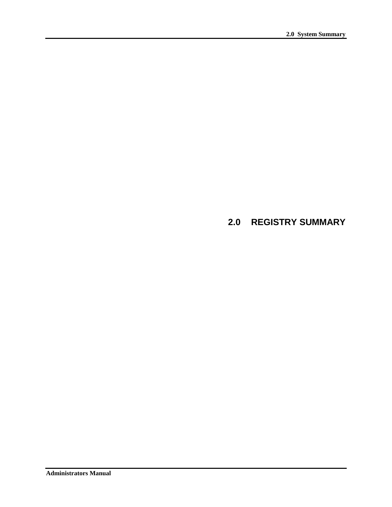### **2.0 REGISTRY SUMMARY**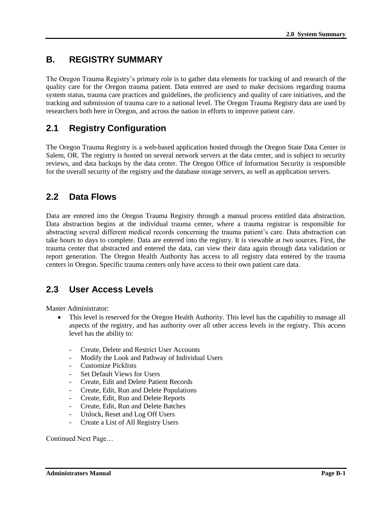### **B. REGISTRY SUMMARY**

The Oregon Trauma Registry's primary role is to gather data elements for tracking of and research of the quality care for the Oregon trauma patient. Data entered are used to make decisions regarding trauma system status, trauma care practices and guidelines, the proficiency and quality of care initiatives, and the tracking and submission of trauma care to a national level. The Oregon Trauma Registry data are used by researchers both here in Oregon, and across the nation in efforts to improve patient care.

### **2.1 Registry Configuration**

The Oregon Trauma Registry is a web-based application hosted through the Oregon State Data Center in Salem, OR. The registry is hosted on several network servers at the data center, and is subject to security reviews, and data backups by the data center. The Oregon Office of Information Security is responsible for the overall security of the registry and the database storage servers, as well as application servers.

### **2.2 Data Flows**

Data are entered into the Oregon Trauma Registry through a manual process entitled data abstraction. Data abstraction begins at the individual trauma center, where a trauma registrar is responsible for abstracting several different medical records concerning the trauma patient's care. Data abstraction can take hours to days to complete. Data are entered into the registry. It is viewable at two sources. First, the trauma center that abstracted and entered the data, can view their data again through data validation or report generation. The Oregon Health Authority has access to all registry data entered by the trauma centers in Oregon. Specific trauma centers only have access to their own patient care data.

### **2.3 User Access Levels**

Master Administrator:

- This level is reserved for the Oregon Health Authority. This level has the capability to manage all aspects of the registry, and has authority over all other access levels in the registry. This access level has the ability to:
	- Create, Delete and Restrict User Accounts
	- Modify the Look and Pathway of Individual Users
	- Customize Picklists
	- Set Default Views for Users
	- Create, Edit and Delete Patient Records
	- Create, Edit, Run and Delete Populations
	- Create, Edit, Run and Delete Reports
	- Create, Edit, Run and Delete Batches
	- Unlock, Reset and Log Off Users
	- Create a List of All Registry Users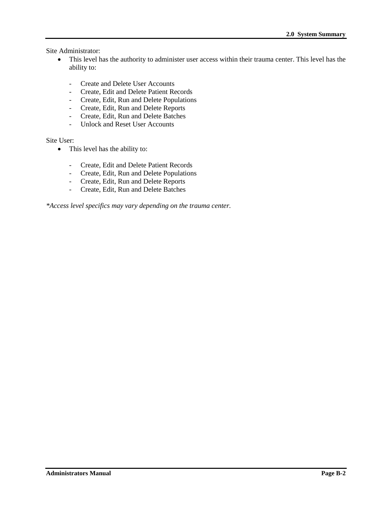Site Administrator:

- This level has the authority to administer user access within their trauma center. This level has the ability to:
	- Create and Delete User Accounts
	- Create, Edit and Delete Patient Records
	- Create, Edit, Run and Delete Populations
	- Create, Edit, Run and Delete Reports
	- Create, Edit, Run and Delete Batches
	- Unlock and Reset User Accounts

Site User:

- This level has the ability to:
	- Create, Edit and Delete Patient Records
	- Create, Edit, Run and Delete Populations
	- Create, Edit, Run and Delete Reports
	- Create, Edit, Run and Delete Batches

*\*Access level specifics may vary depending on the trauma center.*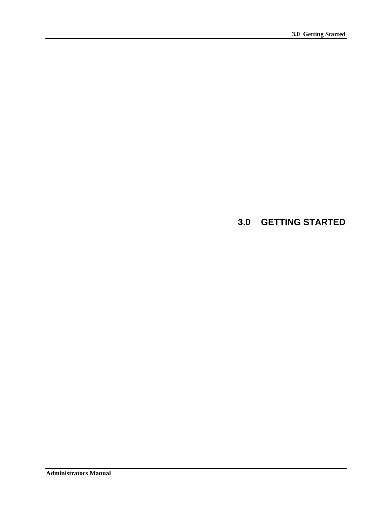### **3.0 GETTING STARTED**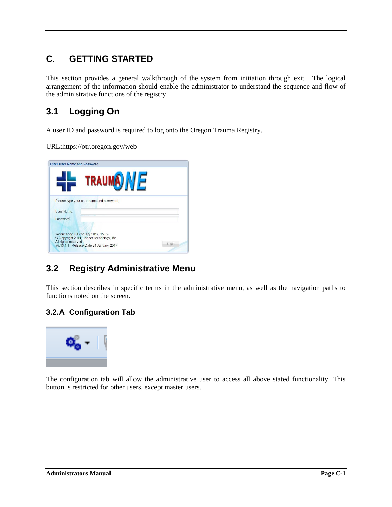### **C. GETTING STARTED**

This section provides a general walkthrough of the system from initiation through exit. The logical arrangement of the information should enable the administrator to understand the sequence and flow of the administrative functions of the registry.

### **3.1 Logging On**

A user ID and password is required to log onto the Oregon Trauma Registry.

[URL:https://otr.oregon.gov/web](https://otr.oregon.gov/web)



### **3.2 Registry Administrative Menu**

This section describes in specific terms in the administrative menu, as well as the navigation paths to functions noted on the screen.

### **3.2.A Configuration Tab**



The configuration tab will allow the administrative user to access all above stated functionality. This button is restricted for other users, except master users.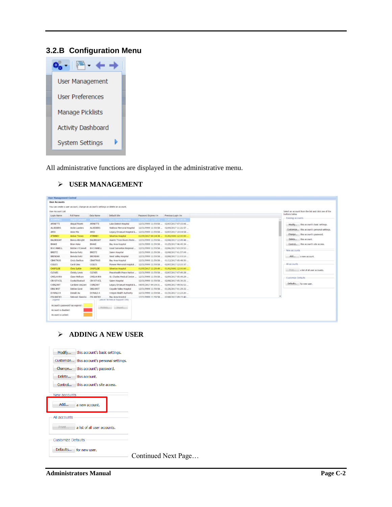### **3.2.B Configuration Menu**



All administrative functions are displayed in the administrative menu.

### **USER MANAGEMENT**

| User Account List                              | You can create a user account, change an account's settings or delete an account. |                                                                                          |                                           |                                          | Select an account from the list and click one of the |
|------------------------------------------------|-----------------------------------------------------------------------------------|------------------------------------------------------------------------------------------|-------------------------------------------|------------------------------------------|------------------------------------------------------|
| Full Name<br>Login Name                        | Data Name                                                                         | Default Site                                                                             | Password Expires On                       | Previous Login On                        | buttons below                                        |
|                                                | Angela Campbell ACAMPBELL                                                         |                                                                                          | 01/05/2017 11:18:15 _ 01/01/0001 12:00:00 |                                          | <b>Existing accounts</b>                             |
| <b>CAMPUFT!</b>                                |                                                                                   | Curry General Hospital                                                                   |                                           |                                          |                                                      |
| AFINETTI<br>Abigail Finetti<br><b>ALUEDERS</b> | AFINETTI                                                                          | Lake District Hospital                                                                   |                                           | 12/31/9999 11:59:58  02/07/2017 07:15:06 | Modify this account's basic settings.                |
| Andie Lueders<br>AMIX<br>Anne Mix              | <b>ALUEDERS</b><br>AMIX                                                           | Wallowa Memorial Hospital                                                                |                                           | 12/31/9999 11:59:58  02/09/2017 11:21:57 | Customize this account's personal settings.          |
| <b>ATINNEY</b><br>Amber Tinney                 | ATINNEY                                                                           | Legacy Emanuel Hospital & 12/31/9999 11:59:58  02/07/2017 10:04:58<br>Silverton Hospital |                                           | 01/09/2017 04:14:38  01/01/0001 12:00:00 | Change this account's password.                      |
| <b>BALBRIGHT</b><br>Bianca Albright            | <b>BALBRIGHT</b>                                                                  | Asante Three Rivers Medic                                                                |                                           | 12/31/9999 11:59:58  02/08/2017 12:49:48 | this account.<br>Delete                              |
| BHAKE<br>Brian Hake                            | BHAKE                                                                             | Bay Area Hospital                                                                        |                                           | 12/31/9999 11:59:58  01/25/2017 06:45:34 | Control this account's site access.                  |
| <b>BOCONNELL</b>                               | Bobbie O'Connell<br><b>BOCONNELL</b>                                              | Good Samaritan Regional                                                                  |                                           | 12/31/9999 11:59:58  02/06/2017 03:19:53 |                                                      |
| <b>BREITZ</b><br>Brenda Reitz                  | <b>BREITZ</b>                                                                     | Salem Hospital                                                                           |                                           | 12/31/9999 11:59:58  02/08/2017 01:57:09 | New accounts                                         |
| <b>BRENDAR</b><br>Brenda Reitz                 | <b>BRENDAR</b>                                                                    | West Valley Hospital                                                                     |                                           | 12/31/9999 11:59:58  02/08/2017 11:03:10 |                                                      |
| <b>CBARTICUS</b><br>Cindy Bartkus              | <b>CBARTIGUS</b>                                                                  | Bay Area Hospital                                                                        |                                           | 12/31/9999 11:59:58  01/12/2017 05:48:50 | Add a new account.                                   |
| <b>CGILES</b><br>Carol Giles                   | <b>CGILES</b>                                                                     | Pioneer Memorial Hospital                                                                |                                           | 12/31/9999 11:59:58  02/07/2017 12:15:37 | -All accounts                                        |
| <b>CHSPILDE</b><br><b>Chris Spilde</b>         | <b>CHSPILDE</b>                                                                   | Silverton Hospital                                                                       |                                           | 01/05/2017 11:29:49  01/01/0001 12:00:00 |                                                      |
| <b>CLEWIS</b><br>Christy Lewis                 | <b>CLEWIS</b>                                                                     | Peacebealth Peace Harbor                                                                 |                                           | 12/31/9999 11:59:58  02/07/2017 07:49:28 | Print a list of all user accounts.                   |
| CMELHORN<br>Claire Melhorn                     | CMELHORN                                                                          | St. Charles Medical Center                                                               |                                           | 12/31/9999 11:59:58  02/09/2017 05:49:29 |                                                      |
| <b>CROSTOCIL</b><br>Crystal Rostocil           | <b>CROSTOCIL</b>                                                                  | Salem Hospital                                                                           |                                           | 12/31/9999 11:59:58  02/08/2017 05:30:21 | Customize Defaults                                   |
| CVINZANT                                       | Carolann VinZant<br>CVINZANT                                                      | Legacy Emanuel Hospital &                                                                |                                           | 04/05/2017 04:19:31  02/09/2017 09:06:53 | Defaults for new user.                               |
| DBGORST<br>Debbie Gorst                        | DBGORST                                                                           | Coquille Valley Hospital                                                                 |                                           | 12/31/9999 11:59:58  01/26/2017 01:29:22 |                                                      |
| Donald Au<br><b>DONALD A</b>                   | <b>DONALD A</b>                                                                   | Oregon Health Authority                                                                  |                                           | 12/31/9999 11:59:58  01/30/2017 11:23:20 |                                                      |
|                                                | Deborah Slanicky DSI ANIOXY                                                       | <b>Bay Area Hospital</b>                                                                 | 12/31/9999 11:59:58  02/08/2017 09:23:40  |                                          |                                                      |

### **ADDING A NEW USER**

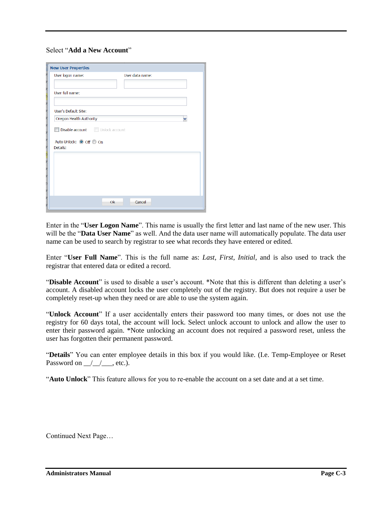### Select "**Add a New Account**"

| User logon name:                    |                                         | User data name: |  |
|-------------------------------------|-----------------------------------------|-----------------|--|
| User full name:                     |                                         |                 |  |
| User's Default Site:                |                                         |                 |  |
| Oregon Health Authority             |                                         |                 |  |
|                                     |                                         |                 |  |
|                                     | <b>Disable account</b>   Unlock account |                 |  |
| Auto Unlock: O off O On<br>Details: |                                         |                 |  |
|                                     |                                         |                 |  |
|                                     |                                         |                 |  |
|                                     |                                         |                 |  |
|                                     |                                         |                 |  |
|                                     |                                         |                 |  |

Enter in the "**User Logon Name**". This name is usually the first letter and last name of the new user. This will be the "**Data User Name**" as well. And the data user name will automatically populate. The data user name can be used to search by registrar to see what records they have entered or edited.

Enter "**User Full Name**". This is the full name as: *Last, First, Initial*, and is also used to track the registrar that entered data or edited a record.

"**Disable Account**" is used to disable a user's account. \*Note that this is different than deleting a user's account. A disabled account locks the user completely out of the registry. But does not require a user be completely reset-up when they need or are able to use the system again.

"**Unlock Account**" If a user accidentally enters their password too many times, or does not use the registry for 60 days total, the account will lock. Select unlock account to unlock and allow the user to enter their password again. \*Note unlocking an account does not required a password reset, unless the user has forgotten their permanent password.

"**Details**" You can enter employee details in this box if you would like. (I.e. Temp-Employee or Reset Password on  $\angle$  /  $\angle$ , etc.).

"**Auto Unlock**" This feature allows for you to re-enable the account on a set date and at a set time.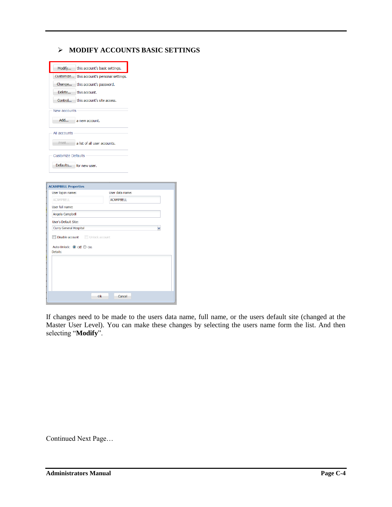### **MODIFY ACCOUNTS BASIC SETTINGS**

| Modify                                                      | this account's basic settings.              |                  |  |
|-------------------------------------------------------------|---------------------------------------------|------------------|--|
|                                                             | Customize this account's personal settings. |                  |  |
| Change                                                      | this account's password.                    |                  |  |
| Delete                                                      | this account.                               |                  |  |
| Control                                                     | this account's site access.                 |                  |  |
| New accounts -                                              |                                             |                  |  |
| Add                                                         | a new account.                              |                  |  |
|                                                             |                                             |                  |  |
| All accounts -                                              |                                             |                  |  |
| Print                                                       | a list of all user accounts.                |                  |  |
|                                                             |                                             |                  |  |
| Customize Defaults -                                        |                                             |                  |  |
| Defaults                                                    |                                             |                  |  |
|                                                             | for new user.                               |                  |  |
|                                                             |                                             |                  |  |
|                                                             |                                             |                  |  |
|                                                             |                                             |                  |  |
|                                                             |                                             | User data name:  |  |
| <b>ACAMPBELL</b>                                            |                                             | <b>ACAMPBELL</b> |  |
| Angela Campbell                                             |                                             |                  |  |
| User full name:<br>User's Default Site:                     |                                             |                  |  |
| Curry General Hospital                                      |                                             |                  |  |
|                                                             | <b>Disable account</b> Unlock account       |                  |  |
|                                                             |                                             |                  |  |
| Auto Unlock: O off O on                                     |                                             |                  |  |
|                                                             |                                             |                  |  |
| <b>ACAMPBELL Properties</b><br>User logon name:<br>Details: |                                             |                  |  |
|                                                             |                                             |                  |  |
|                                                             |                                             |                  |  |

If changes need to be made to the users data name, full name, or the users default site (changed at the Master User Level). You can make these changes by selecting the users name form the list. And then selecting "**Modify**".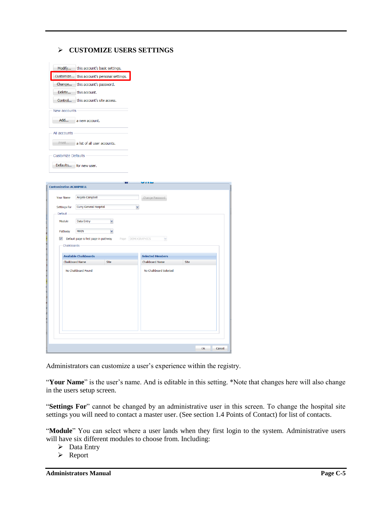### **CUSTOMIZE USERS SETTINGS**

| Modify                         | this account's basic settings.        |                                             |                         |      |
|--------------------------------|---------------------------------------|---------------------------------------------|-------------------------|------|
|                                |                                       | Customize this account's personal settings. |                         |      |
| Change                         | this account's password.              |                                             |                         |      |
| Delete                         | this account.                         |                                             |                         |      |
| Control                        | this account's site access.           |                                             |                         |      |
| New accounts                   |                                       |                                             |                         |      |
| Add                            | a new account.                        |                                             |                         |      |
| All accounts -                 |                                       |                                             |                         |      |
| Print                          | a list of all user accounts.          |                                             |                         |      |
| Customize Defaults-            |                                       |                                             |                         |      |
|                                | Defaults for new user.                |                                             |                         |      |
|                                |                                       | ш                                           | 79 V J                  |      |
| <b>Customization ACAMPBELL</b> |                                       |                                             |                         |      |
| Your Name                      | Angela Campbell                       |                                             | Change Password         |      |
| Settings For                   | Curry General Hospital                |                                             | ×                       |      |
| Default-<br>Module             | Data Entry                            | Y                                           |                         |      |
| Pathway                        | <b>MAIN</b>                           | ×                                           |                         |      |
|                                | Default page is first page in pathway | Page DEMOGRAPHICS                           |                         |      |
| Chalkboards-                   |                                       |                                             |                         |      |
|                                | <b>Available Chalkboards</b>          |                                             | <b>Selected Members</b> |      |
| Chalkboard Name                |                                       | Site                                        | Chalkboard Name         | Site |
|                                | No Chalkboard Found                   |                                             | No Chalkboard Selected  |      |
|                                |                                       |                                             |                         |      |
|                                |                                       |                                             |                         |      |
|                                |                                       |                                             |                         |      |
|                                |                                       |                                             |                         |      |

Administrators can customize a user's experience within the registry.

"Your Name" is the user's name. And is editable in this setting. \*Note that changes here will also change in the users setup screen.

 $\alpha$ 

Cancel

"**Settings For**" cannot be changed by an administrative user in this screen. To change the hospital site settings you will need to contact a master user. (See section 1.4 Points of Contact) for list of contacts.

"**Module**" You can select where a user lands when they first login to the system. Administrative users will have six different modules to choose from. Including:

- $\triangleright$  Data Entry
- P Report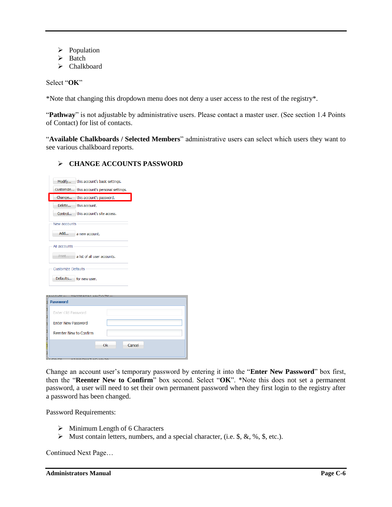- $\triangleright$  Population
- $\triangleright$  Batch
- $\triangleright$  Chalkboard

Select "**OK**"

\*Note that changing this dropdown menu does not deny a user access to the rest of the registry\*.

"Pathway" is not adjustable by administrative users. Please contact a master user. (See section 1.4 Points of Contact) for list of contacts.

"**Available Chalkboards / Selected Members**" administrative users can select which users they want to see various chalkboard reports.

### **CHANGE ACCOUNTS PASSWORD**

| Modify                    | this account's basic settings.              |        |
|---------------------------|---------------------------------------------|--------|
|                           | Customize this account's personal settings. |        |
|                           | Change this account's password.             |        |
| Delete                    | this account.                               |        |
| Control                   | this account's site access.                 |        |
| New accounts -            |                                             |        |
| Add                       | a new account.                              |        |
|                           |                                             |        |
| All accounts -            |                                             |        |
| Print                     | a list of all user accounts.                |        |
| Customize Defaults-       |                                             |        |
| Defaults                  | for new user.                               |        |
|                           |                                             |        |
|                           |                                             |        |
| <b>Password</b>           | 2017.12.77.70                               |        |
|                           |                                             |        |
| Enter Old Password        |                                             |        |
| <b>Enter New Password</b> |                                             |        |
| Reenter New to Confirm    |                                             |        |
|                           | Ok                                          | Cancel |
|                           |                                             |        |
|                           |                                             |        |

Change an account user's temporary password by entering it into the "**Enter New Password**" box first, then the "**Reenter New to Confirm**" box second. Select "**OK**". \*Note this does not set a permanent password, a user will need to set their own permanent password when they first login to the registry after a password has been changed.

Password Requirements:

- $\triangleright$  Minimum Length of 6 Characters
- $\triangleright$  Must contain letters, numbers, and a special character, (i.e. \$, &, %, \$, etc.).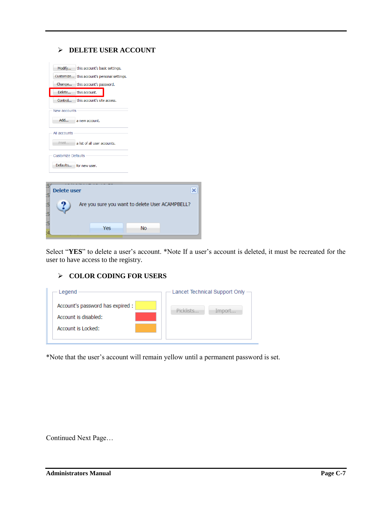### **DELETE USER ACCOUNT**

|                         | Modify                    | this account's basic settings.                  |    |          |
|-------------------------|---------------------------|-------------------------------------------------|----|----------|
|                         |                           | Customize this account's personal settings.     |    |          |
|                         | Change                    | this account's password.                        |    |          |
|                         | Delete                    | this account.                                   |    |          |
|                         | Control                   | this account's site access.                     |    |          |
|                         | New accounts              |                                                 |    |          |
|                         | Add                       | a new account.                                  |    |          |
|                         |                           |                                                 |    |          |
|                         | All accounts -            |                                                 |    |          |
|                         | Print                     | a list of all user accounts.                    |    |          |
|                         | <b>Customize Defaults</b> |                                                 |    |          |
|                         | Defaults                  | for new user.                                   |    |          |
|                         |                           |                                                 |    |          |
|                         |                           |                                                 |    |          |
| $\overline{\mathbf{5}}$ | <b>Delete user</b>        |                                                 |    | $\times$ |
|                         |                           |                                                 |    |          |
| :5                      |                           | Are you sure you want to delete User ACAMPBELL? |    |          |
| 5                       |                           |                                                 |    |          |
| :5                      |                           |                                                 |    |          |
| $\cdot$ 4               |                           | Yes                                             | No |          |

Select "**YES**" to delete a user's account. \*Note If a user's account is deleted, it must be recreated for the user to have access to the registry.

### **COLOR CODING FOR USERS**

| Legend                           | - Lancet Technical Support Only — |
|----------------------------------|-----------------------------------|
| Account's password has expired : | Picklists<br>Import               |
| Account is disabled:             |                                   |
| Account is Locked:               |                                   |
|                                  |                                   |

\*Note that the user's account will remain yellow until a permanent password is set.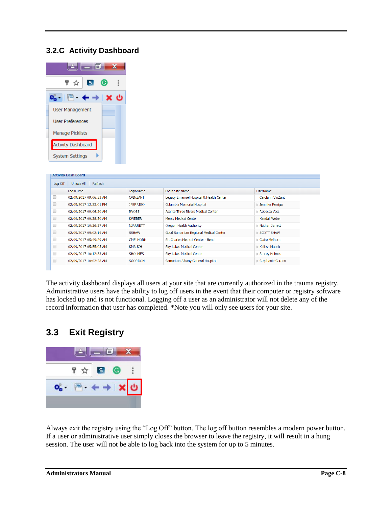### **3.2.C Activity Dashboard**

| $\left  \begin{array}{c} \text{ } \\ \text{-} \end{array} \right  = \left  \begin{array}{c} \text{ } \\ \text{ } \end{array} \right  = \left  \begin{array}{c} \text{ } \\ \text{ } \end{array} \right  = \left  \begin{array}{c} \text{ } \\ \text{ } \end{array} \right  = \left  \begin{array}{c} \text{ } \\ \text{ } \end{array} \right  = \left  \begin{array}{c} \text{ } \\ \text{ } \end{array} \right  = \left  \begin{array}{c} \text{ } \\ \text{ } \end{array} \right  = \left  \begin{array}{c} \text{ } \\ \text{ } \end{array}$ |   |
|-------------------------------------------------------------------------------------------------------------------------------------------------------------------------------------------------------------------------------------------------------------------------------------------------------------------------------------------------------------------------------------------------------------------------------------------------------------------------------------------------------------------------------------------------|---|
| 早☆ SI                                                                                                                                                                                                                                                                                                                                                                                                                                                                                                                                           | G |
| $\rightarrow$ $\times$ 0<br>۰                                                                                                                                                                                                                                                                                                                                                                                                                                                                                                                   |   |
| User Management                                                                                                                                                                                                                                                                                                                                                                                                                                                                                                                                 |   |
| <b>User Preferences</b>                                                                                                                                                                                                                                                                                                                                                                                                                                                                                                                         |   |
| <b>Manage Picklists</b>                                                                                                                                                                                                                                                                                                                                                                                                                                                                                                                         |   |
| <b>Activity Dashboard</b>                                                                                                                                                                                                                                                                                                                                                                                                                                                                                                                       |   |
| <b>System Settings</b>                                                                                                                                                                                                                                                                                                                                                                                                                                                                                                                          |   |

| $Loa$ Off | Unlock All<br><b>Refresh</b> |                 |                                         |                             |
|-----------|------------------------------|-----------------|-----------------------------------------|-----------------------------|
|           | LoginTime                    | LoginName       | Login Site Name                         | <b>UserName</b>             |
| 0         | 02/09/2017 09:06:53 AM       | <b>CVINZANT</b> | Legacy Emanuel Hospital & Health Center | Carolann VinZant            |
| □         | 02/09/2017 12:33:01 PM       | <b>JPERRIGO</b> | Columbia Memorial Hospital              | <b>Jennifer Perrigo</b>     |
| □         | 02/09/2017 09:06:20 AM       | <b>RVOSS</b>    | Asante Three Rivers Medical Center      | <b>Rebecca Voss</b>         |
| □         | 02/09/2017 09:28:50 AM       | <b>KWEBER</b>   | <b>Mercy Medical Center</b>             | Kendall Weber               |
| 0         | 02/09/2017 10:26:37 AM       | <b>NJARRETT</b> | Oregon Health Authority                 | Mathan Jarrett              |
| □         | 02/09/2017 09:02:19 AM       | <b>SSHAW</b>    | Good Samaritan Regional Medical Center  | $\triangleright$ SCOTT SHAW |
| □         | 02/09/2017 05:49:29 AM       | <b>CMELHORN</b> | St. Charles Medical Center - Bend       | Claire Melhorn              |
| □         | 02/09/2017 05:55:05 AM       | <b>KMAUCH</b>   | Sky Lakes Medical Center                | Kalissa Mauch               |
| □         | 02/09/2017 10:12:33 AM       | <b>SHOLMES</b>  | Sky Lakes Medical Center                | Stacey Holmes               |
| 0         | 02/09/2017 10:02:58 AM       | <b>SGORDON</b>  | Samaritan Albany General Hospital       | Stephanie Gordon            |

The activity dashboard displays all users at your site that are currently authorized in the trauma registry. Administrative users have the ability to log off users in the event that their computer or registry software has locked up and is not functional. Logging off a user as an administrator will not delete any of the record information that user has completed. \*Note you will only see users for your site.

### **3.3 Exit Registry**



Always exit the registry using the "Log Off" button. The log off button resembles a modern power button. If a user or administrative user simply closes the browser to leave the registry, it will result in a hung session. The user will not be able to log back into the system for up to 5 minutes.